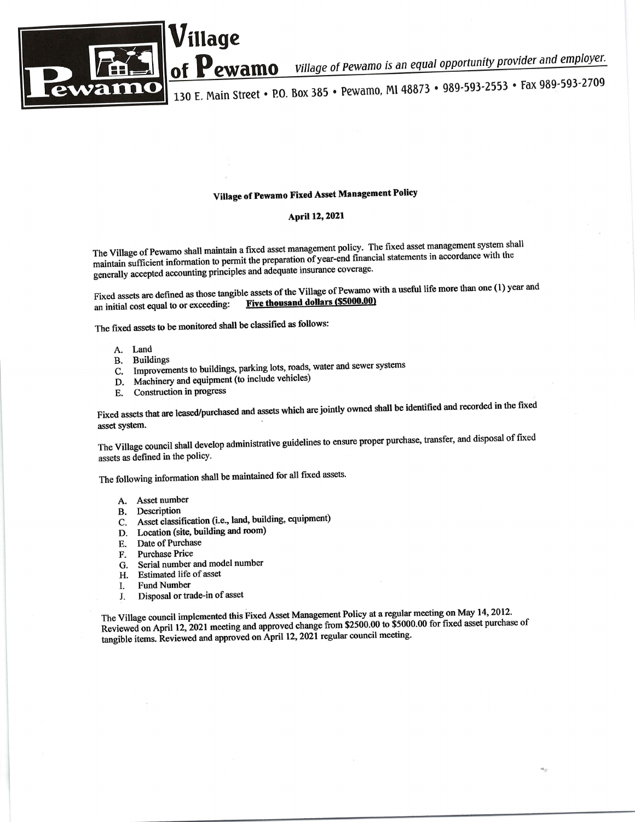

Village of Pewamo is an equal opportunity provider and employer. ewamo

130 E. Main Street • P.O. Box 385 • Pewamo, MI 48873 • 989-593-2553 • Fax 989-593-2709

## Village of Pewamo Fixed Asset Management Policy

## April 12, 2021

The Village of Pewamo shall maintain a fixed asset management policy. The fixed asset management system shall maintain sufficient information to permit the preparation of year-end financial statements in accordance with the generally accepted accounting principles and adequate insurance coverage.

Fixed assets are defined as those tangible assets of the Village of Pewamo with a useful life more than one (1) year and Five thousand dollars (\$5000.00) an initial cost equal to or exceeding:

The fixed assets to be monitored shall be classified as follows:

illage

- A. Land
- **B.** Buildings
- C. Improvements to buildings, parking lots, roads, water and sewer systems
- D. Machinery and equipment (to include vehicles)
- Construction in progress  $E_{\rm c}$

Fixed assets that are leased/purchased and assets which are jointly owned shall be identified and recorded in the fixed asset system.

The Village council shall develop administrative guidelines to ensure proper purchase, transfer, and disposal of fixed assets as defined in the policy.

The following information shall be maintained for all fixed assets.

- A. Asset number
- **B.** Description
- C. Asset classification (i.e., land, building, equipment)
- D. Location (site, building and room)
- Date of Purchase E.
- **Purchase Price** F.
- Serial number and model number G.
- Estimated life of asset H.
- **Fund Number** I.
- Disposal or trade-in of asset J.

The Village council implemented this Fixed Asset Management Policy at a regular meeting on May 14, 2012. Reviewed on April 12, 2021 meeting and approved change from \$2500.00 to \$5000.00 for fixed asset purchase of tangible items. Reviewed and approved on April 12, 2021 regular council meeting.